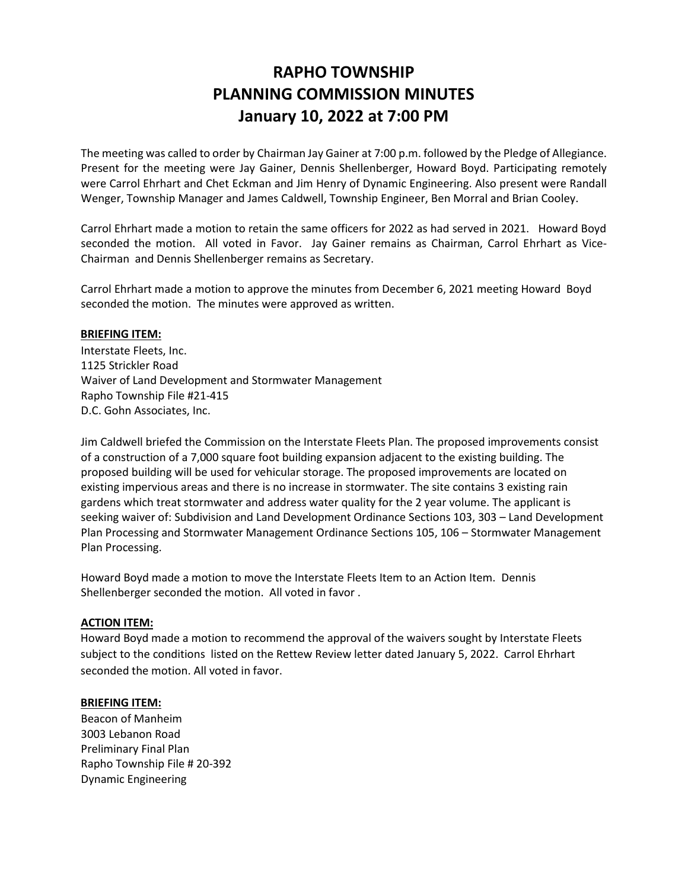## **RAPHO TOWNSHIP PLANNING COMMISSION MINUTES January 10, 2022 at 7:00 PM**

The meeting was called to order by Chairman Jay Gainer at 7:00 p.m. followed by the Pledge of Allegiance. Present for the meeting were Jay Gainer, Dennis Shellenberger, Howard Boyd. Participating remotely were Carrol Ehrhart and Chet Eckman and Jim Henry of Dynamic Engineering. Also present were Randall Wenger, Township Manager and James Caldwell, Township Engineer, Ben Morral and Brian Cooley.

Carrol Ehrhart made a motion to retain the same officers for 2022 as had served in 2021. Howard Boyd seconded the motion. All voted in Favor. Jay Gainer remains as Chairman, Carrol Ehrhart as Vice-Chairman and Dennis Shellenberger remains as Secretary.

Carrol Ehrhart made a motion to approve the minutes from December 6, 2021 meeting Howard Boyd seconded the motion. The minutes were approved as written.

## **BRIEFING ITEM:**

Interstate Fleets, Inc. 1125 Strickler Road Waiver of Land Development and Stormwater Management Rapho Township File #21-415 D.C. Gohn Associates, Inc.

Jim Caldwell briefed the Commission on the Interstate Fleets Plan. The proposed improvements consist of a construction of a 7,000 square foot building expansion adjacent to the existing building. The proposed building will be used for vehicular storage. The proposed improvements are located on existing impervious areas and there is no increase in stormwater. The site contains 3 existing rain gardens which treat stormwater and address water quality for the 2 year volume. The applicant is seeking waiver of: Subdivision and Land Development Ordinance Sections 103, 303 – Land Development Plan Processing and Stormwater Management Ordinance Sections 105, 106 – Stormwater Management Plan Processing.

Howard Boyd made a motion to move the Interstate Fleets Item to an Action Item. Dennis Shellenberger seconded the motion. All voted in favor .

## **ACTION ITEM:**

Howard Boyd made a motion to recommend the approval of the waivers sought by Interstate Fleets subject to the conditions listed on the Rettew Review letter dated January 5, 2022. Carrol Ehrhart seconded the motion. All voted in favor.

## **BRIEFING ITEM:**

Beacon of Manheim 3003 Lebanon Road Preliminary Final Plan Rapho Township File # 20-392 Dynamic Engineering